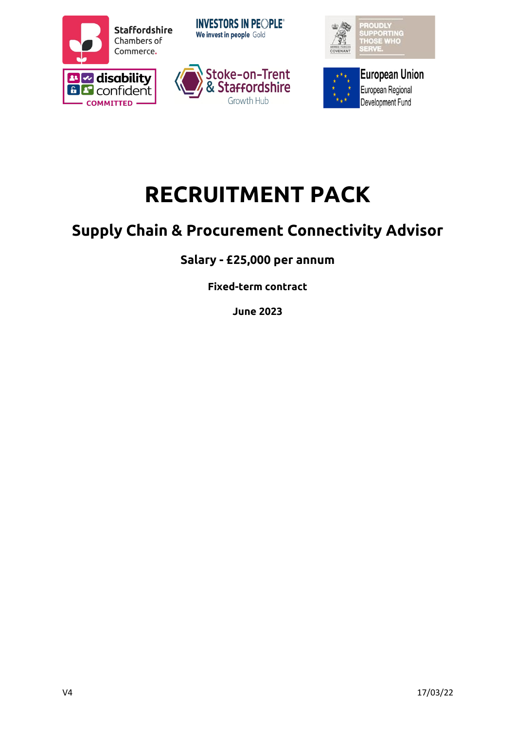









# **RECRUITMENT PACK**

# **Supply Chain & Procurement Connectivity Advisor**

## **Salary - £25,000 per annum**

**Fixed-term contract** 

**June 2023**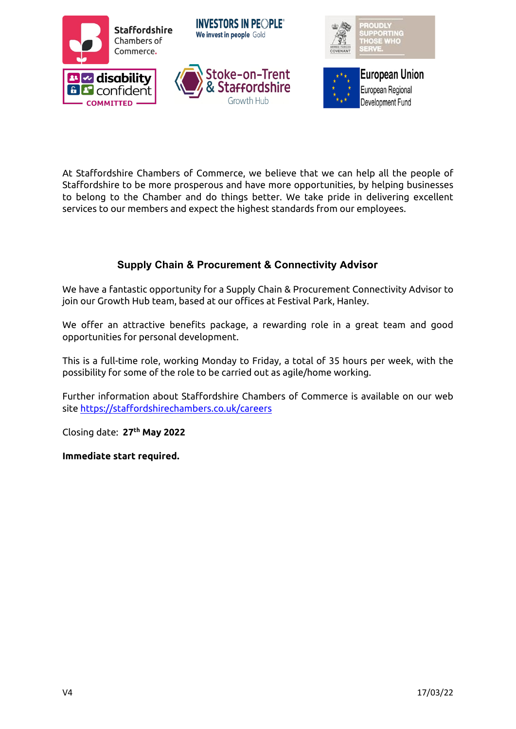

At Staffordshire Chambers of Commerce, we believe that we can help all the people of Staffordshire to be more prosperous and have more opportunities, by helping businesses to belong to the Chamber and do things better. We take pride in delivering excellent services to our members and expect the highest standards from our employees.

#### **Supply Chain & Procurement & Connectivity Advisor**

We have a fantastic opportunity for a Supply Chain & Procurement Connectivity Advisor to join our Growth Hub team, based at our offices at Festival Park, Hanley.

We offer an attractive benefits package, a rewarding role in a great team and good opportunities for personal development.

This is a full-time role, working Monday to Friday, a total of 35 hours per week, with the possibility for some of the role to be carried out as agile/home working.

Further information about Staffordshire Chambers of Commerce is available on our web site [https://staffordshirechambers.co.uk/careers](https://staffordshirechambers.co.uk/careers-)

Closing date: **27th May 2022**

**Immediate start required.**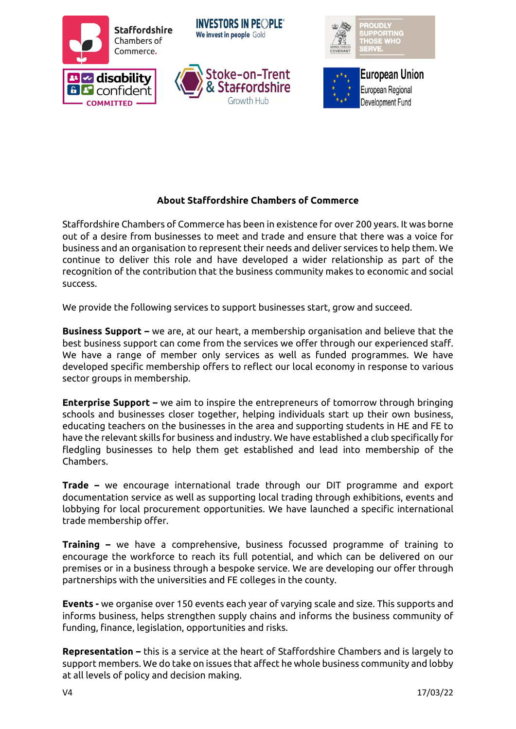

#### **About Staffordshire Chambers of Commerce**

Staffordshire Chambers of Commerce has been in existence for over 200 years. It was borne out of a desire from businesses to meet and trade and ensure that there was a voice for business and an organisation to represent their needs and deliver services to help them. We continue to deliver this role and have developed a wider relationship as part of the recognition of the contribution that the business community makes to economic and social success.

We provide the following services to support businesses start, grow and succeed.

**Business Support –** we are, at our heart, a membership organisation and believe that the best business support can come from the services we offer through our experienced staff. We have a range of member only services as well as funded programmes. We have developed specific membership offers to reflect our local economy in response to various sector groups in membership.

**Enterprise Support –** we aim to inspire the entrepreneurs of tomorrow through bringing schools and businesses closer together, helping individuals start up their own business, educating teachers on the businesses in the area and supporting students in HE and FE to have the relevant skills for business and industry. We have established a club specifically for fledgling businesses to help them get established and lead into membership of the Chambers.

**Trade –** we encourage international trade through our DIT programme and export documentation service as well as supporting local trading through exhibitions, events and lobbying for local procurement opportunities. We have launched a specific international trade membership offer.

**Training –** we have a comprehensive, business focussed programme of training to encourage the workforce to reach its full potential, and which can be delivered on our premises or in a business through a bespoke service. We are developing our offer through partnerships with the universities and FE colleges in the county.

**Events -** we organise over 150 events each year of varying scale and size. This supports and informs business, helps strengthen supply chains and informs the business community of funding, finance, legislation, opportunities and risks.

**Representation –** this is a service at the heart of Staffordshire Chambers and is largely to support members. We do take on issues that affect he whole business community and lobby at all levels of policy and decision making.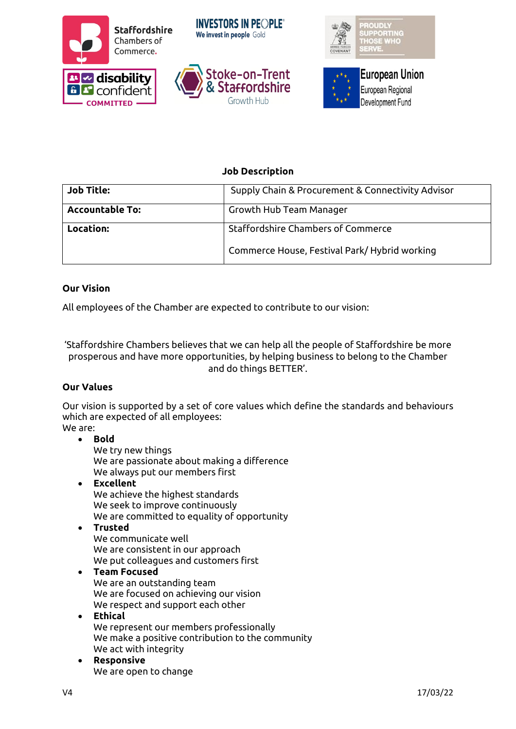





#### **Job Description**

| <b>Job Title:</b>      | Supply Chain & Procurement & Connectivity Advisor |  |
|------------------------|---------------------------------------------------|--|
| <b>Accountable To:</b> | Growth Hub Team Manager                           |  |
| Location:              | Staffordshire Chambers of Commerce                |  |
|                        | Commerce House, Festival Park/Hybrid working      |  |

#### **Our Vision**

All employees of the Chamber are expected to contribute to our vision:

'Staffordshire Chambers believes that we can help all the people of Staffordshire be more prosperous and have more opportunities, by helping business to belong to the Chamber and do things BETTER'.

#### **Our Values**

Our vision is supported by a set of core values which define the standards and behaviours which are expected of all employees: We are:

#### • **Bold**

We try new things We are passionate about making a difference We always put our members first

• **Excellent**  We achieve the highest standards We seek to improve continuously We are committed to equality of opportunity

#### • **Trusted**

We communicate well We are consistent in our approach We put colleagues and customers first

#### • **Team Focused**

We are an outstanding team We are focused on achieving our vision We respect and support each other

- **Ethical** We represent our members professionally We make a positive contribution to the community We act with integrity
- **Responsive** We are open to change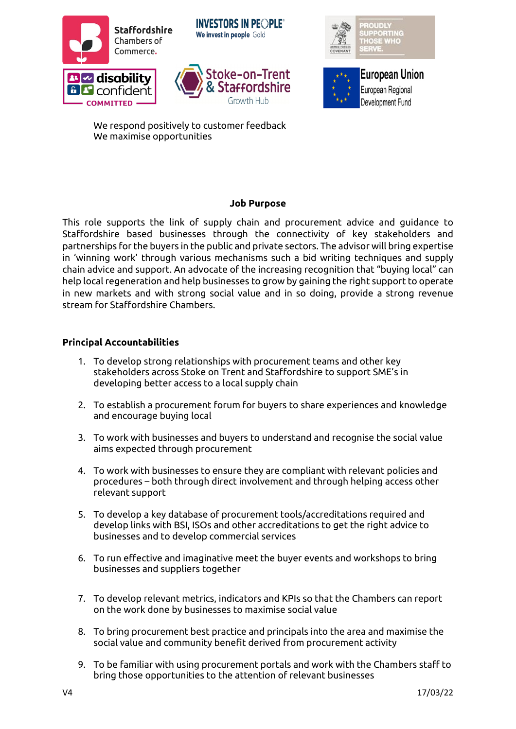





**European Union** European Regional Development Fund

We respond positively to customer feedback We maximise opportunities

#### **Job Purpose**

This role supports the link of supply chain and procurement advice and guidance to Staffordshire based businesses through the connectivity of key stakeholders and partnerships for the buyers in the public and private sectors. The advisor will bring expertise in 'winning work' through various mechanisms such a bid writing techniques and supply chain advice and support. An advocate of the increasing recognition that "buying local" can help local regeneration and help businesses to grow by gaining the right support to operate in new markets and with strong social value and in so doing, provide a strong revenue stream for Staffordshire Chambers.

#### **Principal Accountabilities**

- 1. To develop strong relationships with procurement teams and other key stakeholders across Stoke on Trent and Staffordshire to support SME's in developing better access to a local supply chain
- 2. To establish a procurement forum for buyers to share experiences and knowledge and encourage buying local
- 3. To work with businesses and buyers to understand and recognise the social value aims expected through procurement
- 4. To work with businesses to ensure they are compliant with relevant policies and procedures – both through direct involvement and through helping access other relevant support
- 5. To develop a key database of procurement tools/accreditations required and develop links with BSI, ISOs and other accreditations to get the right advice to businesses and to develop commercial services
- 6. To run effective and imaginative meet the buyer events and workshops to bring businesses and suppliers together
- 7. To develop relevant metrics, indicators and KPIs so that the Chambers can report on the work done by businesses to maximise social value
- 8. To bring procurement best practice and principals into the area and maximise the social value and community benefit derived from procurement activity
- 9. To be familiar with using procurement portals and work with the Chambers staff to bring those opportunities to the attention of relevant businesses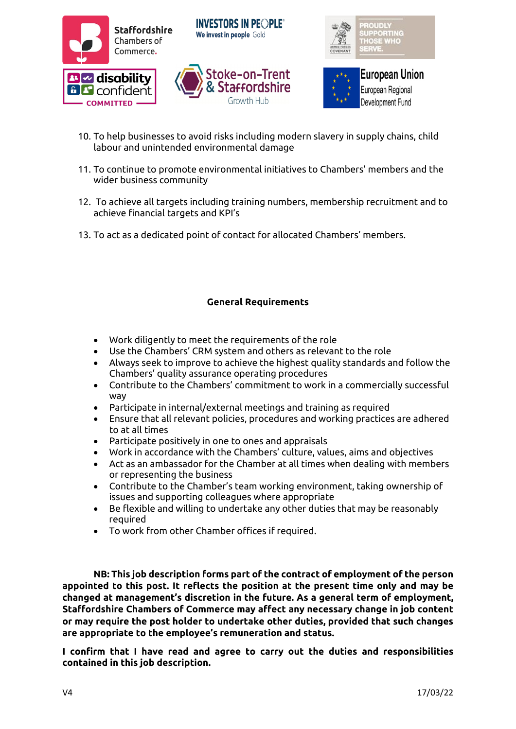





- 10. To help businesses to avoid risks including modern slavery in supply chains, child labour and unintended environmental damage
- 11. To continue to promote environmental initiatives to Chambers' members and the wider business community
- 12. To achieve all targets including training numbers, membership recruitment and to achieve financial targets and KPI's
- 13. To act as a dedicated point of contact for allocated Chambers' members.

#### **General Requirements**

- Work diligently to meet the requirements of the role
- Use the Chambers' CRM system and others as relevant to the role
- Always seek to improve to achieve the highest quality standards and follow the Chambers' quality assurance operating procedures
- Contribute to the Chambers' commitment to work in a commercially successful way
- Participate in internal/external meetings and training as required
- Ensure that all relevant policies, procedures and working practices are adhered to at all times
- Participate positively in one to ones and appraisals
- Work in accordance with the Chambers' culture, values, aims and objectives
- Act as an ambassador for the Chamber at all times when dealing with members or representing the business
- Contribute to the Chamber's team working environment, taking ownership of issues and supporting colleagues where appropriate
- Be flexible and willing to undertake any other duties that may be reasonably required
- To work from other Chamber offices if required.

**NB: This job description forms part of the contract of employment of the person appointed to this post. It reflects the position at the present time only and may be changed at management's discretion in the future. As a general term of employment, Staffordshire Chambers of Commerce may affect any necessary change in job content or may require the post holder to undertake other duties, provided that such changes are appropriate to the employee's remuneration and status.**

**I confirm that I have read and agree to carry out the duties and responsibilities contained in this job description.**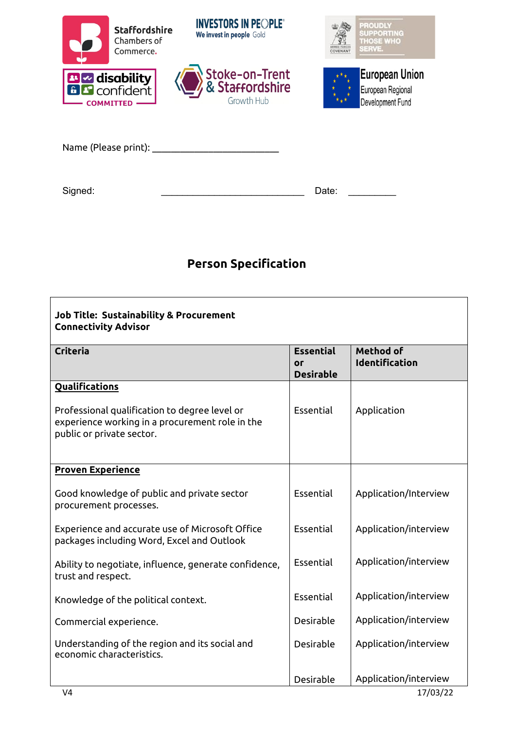|                      | <b>Staffordshire</b><br>Chambers of<br>Commerce. | <b>INVESTORS IN PEOPLE®</b><br>We invest in people Gold | LEMED FORCE<br><b>COVENANT</b> | <b>PROUDLY</b><br><b>SUPPORTING</b><br><b>THOSE WHO</b><br>SERVE. |
|----------------------|--------------------------------------------------|---------------------------------------------------------|--------------------------------|-------------------------------------------------------------------|
|                      | <b>BIZ disability</b><br><b>COMMITTED</b>        | Stoke-on-Trent<br>& Staffordshire<br>Growth Hub         |                                | <b>European Union</b><br>European Regional<br>Development Fund    |
| Name (Please print): |                                                  |                                                         |                                |                                                                   |
| Signed:              |                                                  |                                                         | Date:                          |                                                                   |

# **Person Specification**

| <b>Job Title: Sustainability &amp; Procurement</b><br><b>Connectivity Advisor</b>                                             |                                            |                                           |  |
|-------------------------------------------------------------------------------------------------------------------------------|--------------------------------------------|-------------------------------------------|--|
| <b>Criteria</b>                                                                                                               | <b>Essential</b><br>Оſ<br><b>Desirable</b> | <b>Method of</b><br><b>Identification</b> |  |
| <b>Qualifications</b>                                                                                                         |                                            |                                           |  |
| Professional qualification to degree level or<br>experience working in a procurement role in the<br>public or private sector. | Essential                                  | Application                               |  |
| <b>Proven Experience</b>                                                                                                      |                                            |                                           |  |
| Good knowledge of public and private sector<br>procurement processes.                                                         | Essential                                  | Application/Interview                     |  |
| Experience and accurate use of Microsoft Office<br>packages including Word, Excel and Outlook                                 | Essential                                  | Application/interview                     |  |
| Ability to negotiate, influence, generate confidence,<br>trust and respect.                                                   | Essential                                  | Application/interview                     |  |
| Knowledge of the political context.                                                                                           | Essential                                  | Application/interview                     |  |
| Commercial experience.                                                                                                        | Desirable                                  | Application/interview                     |  |
| Understanding of the region and its social and<br>economic characteristics.                                                   | Desirable                                  | Application/interview                     |  |
|                                                                                                                               | Desirable                                  | Application/interview                     |  |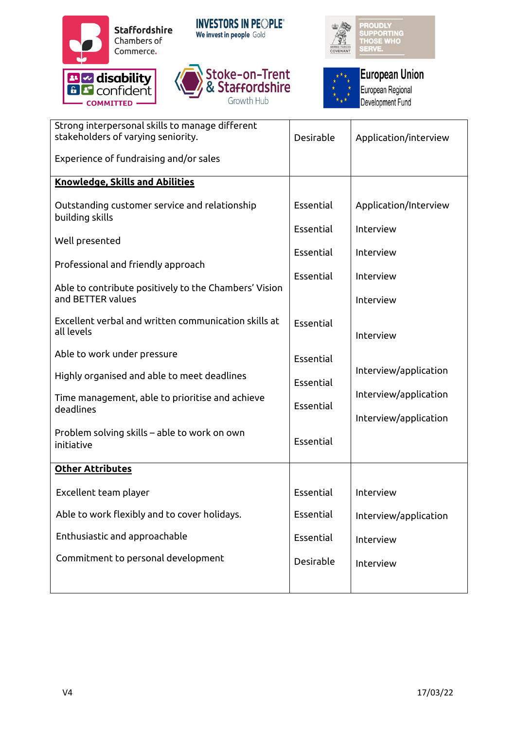

- COMMITTED -

**INVESTORS IN PEOPLE®** We invest in people Gold







# **European Union**

European Regional Development Fund

| Strong interpersonal skills to manage different<br>stakeholders of varying seniority. | Desirable | Application/interview |
|---------------------------------------------------------------------------------------|-----------|-----------------------|
| Experience of fundraising and/or sales                                                |           |                       |
| <b>Knowledge, Skills and Abilities</b>                                                |           |                       |
| Outstanding customer service and relationship<br>building skills                      | Essential | Application/Interview |
| Well presented                                                                        | Essential | Interview             |
| Professional and friendly approach                                                    | Essential | Interview             |
| Able to contribute positively to the Chambers' Vision                                 | Essential | Interview             |
| and BETTER values                                                                     |           | Interview             |
| Excellent verbal and written communication skills at<br>all levels                    | Essential | Interview             |
| Able to work under pressure                                                           | Essential |                       |
| Highly organised and able to meet deadlines                                           | Essential | Interview/application |
| Time management, able to prioritise and achieve<br>deadlines                          | Essential | Interview/application |
| Problem solving skills - able to work on own<br>initiative                            | Essential | Interview/application |
| <b>Other Attributes</b>                                                               |           |                       |
| Excellent team player                                                                 | Essential | Interview             |
| Able to work flexibly and to cover holidays.                                          | Essential | Interview/application |
| Enthusiastic and approachable                                                         | Essential | Interview             |
| Commitment to personal development                                                    | Desirable | Interview             |
|                                                                                       |           |                       |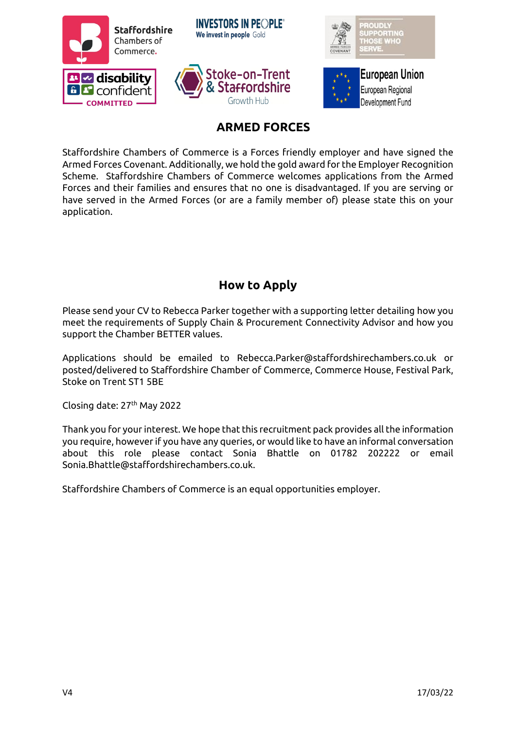

### **ARMED FORCES**

Staffordshire Chambers of Commerce is a Forces friendly employer and have signed the Armed Forces Covenant. Additionally, we hold the gold award for the Employer Recognition Scheme. Staffordshire Chambers of Commerce welcomes applications from the Armed Forces and their families and ensures that no one is disadvantaged. If you are serving or have served in the Armed Forces (or are a family member of) please state this on your application.

### **How to Apply**

Please send your CV to Rebecca Parker together with a supporting letter detailing how you meet the requirements of Supply Chain & Procurement Connectivity Advisor and how you support the Chamber BETTER values.

Applications should be emailed to Rebecca.Parker@staffordshirechambers.co.uk or posted/delivered to Staffordshire Chamber of Commerce, Commerce House, Festival Park, Stoke on Trent ST1 5BE

Closing date: 27<sup>th</sup> May 2022

Thank you for your interest. We hope that this recruitment pack provides all the information you require, however if you have any queries, or would like to have an informal conversation about this role please contact Sonia Bhattle on 01782 202222 or email Sonia.Bhattle@staffordshirechambers.co.uk.

Staffordshire Chambers of Commerce is an equal opportunities employer.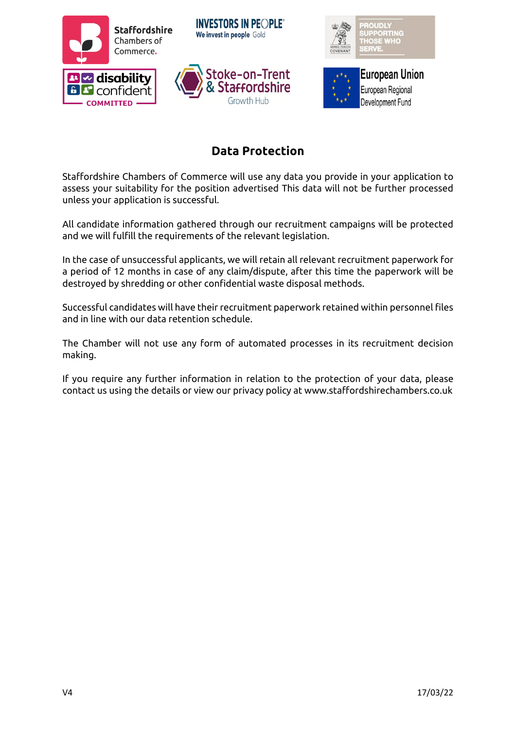

## **Data Protection**

Staffordshire Chambers of Commerce will use any data you provide in your application to assess your suitability for the position advertised This data will not be further processed unless your application is successful.

All candidate information gathered through our recruitment campaigns will be protected and we will fulfill the requirements of the relevant legislation.

In the case of unsuccessful applicants, we will retain all relevant recruitment paperwork for a period of 12 months in case of any claim/dispute, after this time the paperwork will be destroyed by shredding or other confidential waste disposal methods.

Successful candidates will have their recruitment paperwork retained within personnel files and in line with our data retention schedule.

The Chamber will not use any form of automated processes in its recruitment decision making.

If you require any further information in relation to the protection of your data, please contact us using the details or view our privacy policy at www.staffordshirechambers.co.uk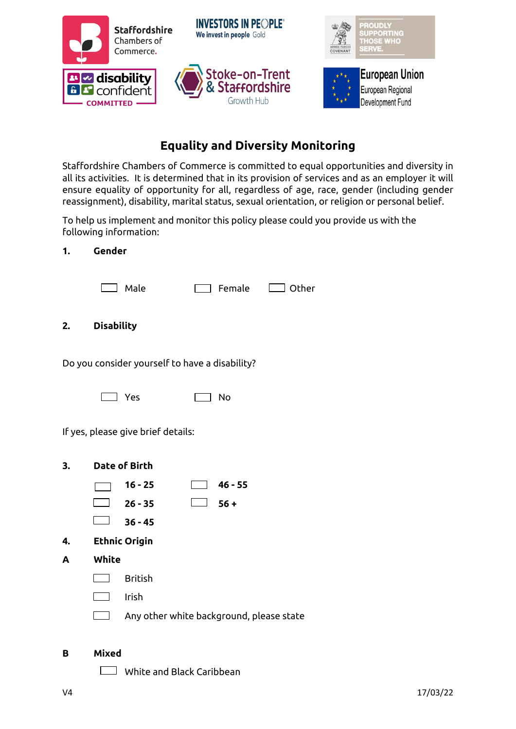

# **Equality and Diversity Monitoring**

Staffordshire Chambers of Commerce is committed to equal opportunities and diversity in all its activities. It is determined that in its provision of services and as an employer it will ensure equality of opportunity for all, regardless of age, race, gender (including gender reassignment), disability, marital status, sexual orientation, or religion or personal belief.

To help us implement and monitor this policy please could you provide us with the following information:

#### **1. Gender**

| Male | $\Box$ Female $\Box$ Other |  |
|------|----------------------------|--|
|      |                            |  |
| ity  |                            |  |

**2. Disabili** 

Do you consider yourself to have a disability?

 $\Box$  Yes  $\Box$  No

If yes, please give brief details:

- **3. Date of Birth**
	- **16 - 25 46 - 55**
	- **26 - 35 56 +**
	- $\boxed{)}$  36 45

**4. Ethnic Origin**

- **A White**
	- British
	- Irish  $\mathcal{L}_{\text{max}}$
	- Any other white background, please state

#### **B Mixed**

White and Black Caribbean